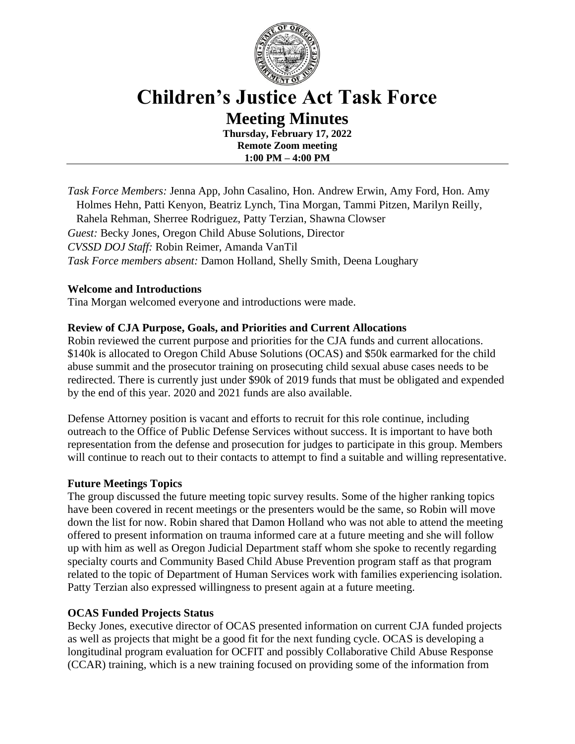

# **Children's Justice Act Task Force Meeting Minutes**

**Thursday, February 17, 2022 Remote Zoom meeting 1:00 PM – 4:00 PM**

*Task Force Members:* Jenna App, John Casalino, Hon. Andrew Erwin, Amy Ford, Hon. Amy Holmes Hehn, Patti Kenyon, Beatriz Lynch, Tina Morgan, Tammi Pitzen, Marilyn Reilly, Rahela Rehman, Sherree Rodriguez, Patty Terzian, Shawna Clowser *Guest:* Becky Jones, Oregon Child Abuse Solutions, Director *CVSSD DOJ Staff:* Robin Reimer, Amanda VanTil *Task Force members absent:* Damon Holland, Shelly Smith, Deena Loughary

## **Welcome and Introductions**

Tina Morgan welcomed everyone and introductions were made.

## **Review of CJA Purpose, Goals, and Priorities and Current Allocations**

Robin reviewed the current purpose and priorities for the CJA funds and current allocations. \$140k is allocated to Oregon Child Abuse Solutions (OCAS) and \$50k earmarked for the child abuse summit and the prosecutor training on prosecuting child sexual abuse cases needs to be redirected. There is currently just under \$90k of 2019 funds that must be obligated and expended by the end of this year. 2020 and 2021 funds are also available.

Defense Attorney position is vacant and efforts to recruit for this role continue, including outreach to the Office of Public Defense Services without success. It is important to have both representation from the defense and prosecution for judges to participate in this group. Members will continue to reach out to their contacts to attempt to find a suitable and willing representative.

#### **Future Meetings Topics**

The group discussed the future meeting topic survey results. Some of the higher ranking topics have been covered in recent meetings or the presenters would be the same, so Robin will move down the list for now. Robin shared that Damon Holland who was not able to attend the meeting offered to present information on trauma informed care at a future meeting and she will follow up with him as well as Oregon Judicial Department staff whom she spoke to recently regarding specialty courts and Community Based Child Abuse Prevention program staff as that program related to the topic of Department of Human Services work with families experiencing isolation. Patty Terzian also expressed willingness to present again at a future meeting.

#### **OCAS Funded Projects Status**

Becky Jones, executive director of OCAS presented information on current CJA funded projects as well as projects that might be a good fit for the next funding cycle. OCAS is developing a longitudinal program evaluation for OCFIT and possibly Collaborative Child Abuse Response (CCAR) training, which is a new training focused on providing some of the information from